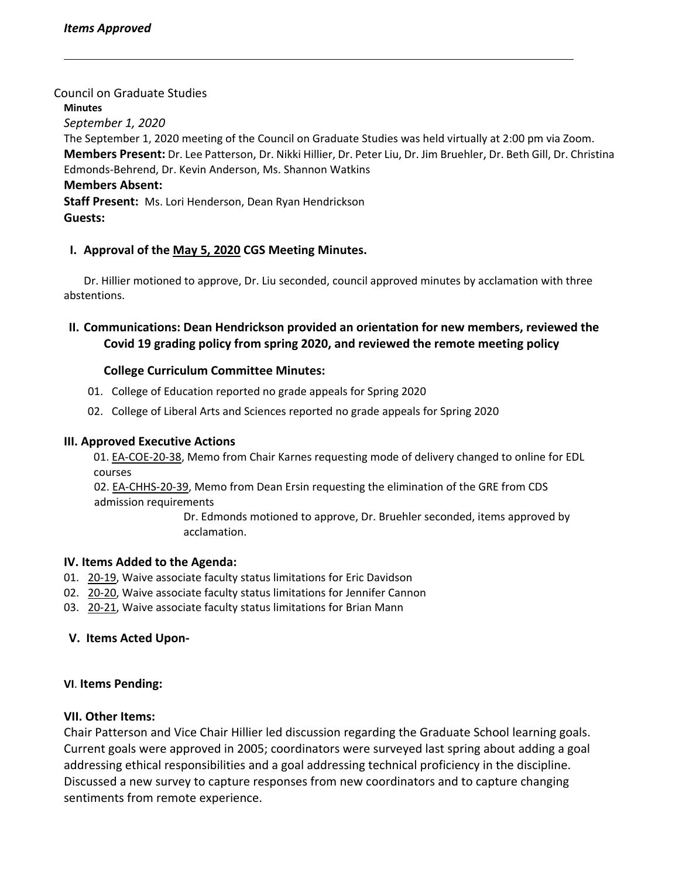Council on Graduate Studies **Minutes** *September 1, 2020* The September 1, 2020 meeting of the Council on Graduate Studies was held virtually at 2:00 pm via Zoom. **Members Present:** Dr. Lee Patterson, Dr. Nikki Hillier, Dr. Peter Liu, Dr. Jim Bruehler, Dr. Beth Gill, Dr. Christina Edmonds‐Behrend, Dr. Kevin Anderson, Ms. Shannon Watkins **Members Absent: Staff Present:** Ms. Lori Henderson, Dean Ryan Hendrickson **Guests:**

# **I. Approval of the May 5, [2020](https://castle.eiu.edu/eiucgs/currentminutes/Minutes5-5-20.pdf) CGS Meeting Minutes.**

Dr. Hillier motioned to approve, Dr. Liu seconded, council approved minutes by acclamation with three abstentions.

**II. Communications: Dean Hendrickson provided an orientation for new members, reviewed the Covid 19 grading policy from spring 2020, and reviewed the remote meeting policy**

## **College Curriculum Committee Minutes:**

- 01. College of Education reported no grade appeals for Spring 2020
- 02. College of Liberal Arts and Sciences reported no grade appeals for Spring 2020

#### **III. Approved Executive Actions**

01. EA-[COE](https://castle.eiu.edu/eiucgs/exec-actions/EA-COE-20-38.pdf)-20-38, Memo from Chair Karnes requesting mode of delivery changed to online for EDL courses

02. EA-[CHHS](https://castle.eiu.edu/eiucgs/exec-actions/EA-CHHS-20-39.pdf)-20-39, Memo from Dean Ersin requesting the elimination of the GRE from CDS admission requirements

> Dr. Edmonds motioned to approve, Dr. Bruehler seconded, items approved by acclamation.

## **IV. Items Added to the Agenda:**

- 01. [20](https://castle.eiu.edu/eiucgs/currentagendaitems/agenda20-19.pdf)-19, Waive associate faculty status limitations for Eric Davidson
- 02. 20-[20,](https://castle.eiu.edu/eiucgs/currentagendaitems/agenda20-20.pdf) Waive associate faculty status limitations for Jennifer Cannon
- 03. 20-[21,](https://castle.eiu.edu/eiucgs/currentagendaitems/agenda20-21.pdf) Waive associate faculty status limitations for Brian Mann

## **V. Items Acted Upon‐**

## **VI**. **Items Pending:**

## **VII. Other Items:**

Chair Patterson and Vice Chair Hillier led discussion regarding the Graduate School learning goals. Current goals were approved in 2005; coordinators were surveyed last spring about adding a goal addressing ethical responsibilities and a goal addressing technical proficiency in the discipline. Discussed a new survey to capture responses from new coordinators and to capture changing sentiments from remote experience.